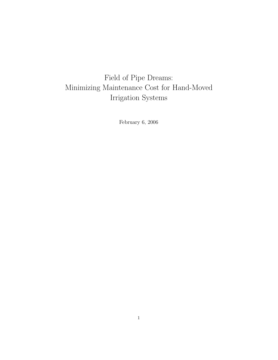# Field of Pipe Dreams: Minimizing Maintenance Cost for Hand-Moved Irrigation Systems

February 6, 2006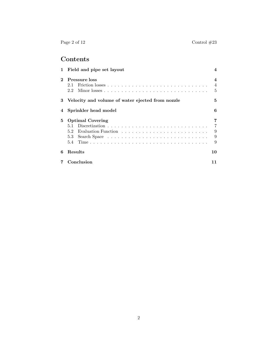Page 2 of 12 Control #23

## **Contents**

| 1 | Field and pipe set layout                                                                                                                     |                                         |
|---|-----------------------------------------------------------------------------------------------------------------------------------------------|-----------------------------------------|
| 2 | Pressure loss<br>2.1<br>2.2                                                                                                                   | $\boldsymbol{4}$<br>$\overline{4}$<br>5 |
| 3 | Velocity and volume of water ejected from nozzle                                                                                              | 5                                       |
| 4 | Sprinkler head model                                                                                                                          | 6                                       |
| 5 | <b>Optimal Covering</b><br>Discretization $\ldots \ldots \ldots \ldots \ldots \ldots \ldots \ldots \ldots \ldots$<br>5.1<br>5.2<br>5.3<br>5.4 | 7<br>7<br>9<br>9<br>9                   |
| 6 | Results                                                                                                                                       | 10                                      |
|   | Conclusion                                                                                                                                    | 11                                      |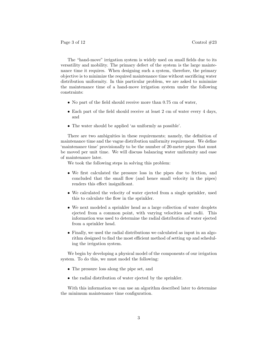The "hand-move" irrigation system is widely used on small fields due to its versatility and mobility. The primary defect of the system is the large maintenance time it requires. When designing such a system, therefore, the primary objective is to minimize the required maintenance time without sacrificing water distribution uniformity. In this particular problem, we are asked to minimize the maintenance time of a hand-move irrigation system under the following constraints:

- No part of the field should receive more than 0.75 cm of water,
- Each part of the field should receive at least 2 cm of water every 4 days, and
- The water should be applied 'as uniformly as possible'.

There are two ambiguities in these requirements; namely, the definition of maintenance time and the vague distribution uniformity requirement. We define 'maintenance time' provisionally to be the number of 20-meter pipes that must be moved per unit time. We will discuss balancing water uniformity and ease of maintenance later.

We took the following steps in solving this problem:

- We first calculated the pressure loss in the pipes due to friction, and concluded that the small flow (and hence small velocity in the pipes) renders this effect insignificant.
- We calculated the velocity of water ejected from a single sprinkler, used this to calculate the flow in the sprinkler.
- We next modeled a sprinkler head as a large collection of water droplets ejected from a common point, with varying velocities and radii. This information was used to determine the radial distribution of water ejected from a sprinkler head.
- Finally, we used the radial distributions we calculated as input in an algorithm designed to find the most efficient method of setting up and scheduling the irrigation system.

We begin by developing a physical model of the components of our irrigation system. To do this, we must model the following:

- The pressure loss along the pipe set, and
- the radial distribution of water ejected by the sprinkler.

With this information we can use an algorithm described later to determine the minimum maintenance time configuration.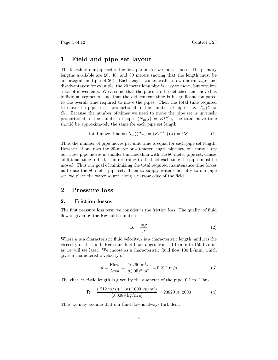### **1 Field and pipe set layout**

The length of our pipe set is the first parameter we must choose. The primary lengths available are 20, 40, and 80 meters (noting that the length must be an integral multiple of 20). Each length comes with its own advantages and disadvantages; for example, the 20 meter long pipe is easy to move, but requires a lot of movements. We assume that the pipes can be detached and moved as individual segments, and that the detachment time is insignificant compared to the overall time required to move the pipes. Then the total time required to move the pipe set is proportional to the number of pipes; i.e.,  $T_m(l)$  = *Cl*. Because the number of times we need to move the pipe set is inversely proportional to the number of pipes  $(N_m(l) = Kl^{-1})$ , the total move time should be approximately the same for each pipe set length:

total move time = 
$$
(N_m)(T_m) = (Kl^{-1})(Cl) = CK
$$
 (1)

Thus the number of pipe moves per unit time is equal for each pipe set length. However, if one uses the 20-meter or 40-meter length pipe set, one must carry out these pipe moves in smaller bunches than with the 80-meter pipe set, causes additional time to be lost in returning to the field each time the pipes must be moved. Thus our goal of minimizing the total required maintenance time forces us to use the 80-meter pipe set. Then to supply water efficiently to our pipe set, we place the water source along a narrow edge of the field.

## **2 Pressure loss**

#### **2.1 Friction losses**

The first pressure loss term we consider is the friction loss. The quality of fluid flow is given by the Reynolds number:

$$
\mathbf{R} = \frac{ulp}{\mu} \tag{2}
$$

Where *u* is a characteristic fluid velocity, *l* is a characteristic length, and  $\mu$  is the viscosity of the fluid. Here our fluid flow ranges from 20 L/min to 150 L/min, as we will see later. We choose as a characteristic fluid flow  $100 L/min$ , which gives a characteristic velocity of

$$
u = \frac{\text{Flow}}{\text{Area}} = \frac{.10/60 \text{ m}^3/\text{s}}{\pi (.05)^2 \text{ m}^2} = 0.212 \text{ m/s}
$$
 (3)

The characteristic length is given by the diameter of the pipe, 0.1 m. Thus

$$
\mathbf{R} = \frac{(.212 \text{ m/s})(.1 \text{ m})(1000 \text{ kg/m}^3)}{(.00089 \text{ kg/m s})} = 23820 \gg 2000 \tag{4}
$$

Thus we may assume that our fluid flow is always turbulent.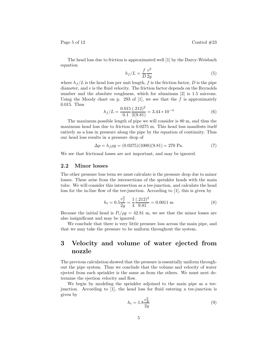Page 5 of 12 Control  $\#23$ 

The head loss due to friction is approximated well [1] by the Darcy-Weisbach equation

$$
h_f/L = \frac{f}{D} \frac{v^2}{2g} \tag{5}
$$

where  $h_f/L$  is the head loss per unit length, f is the friction factor, D is the pipe diameter, and *v* is the fluid velocity. The friction factor depends on the Reynolds number and the absolute roughness, which for aluminum [2] is 1.5 microns. Using the Moody chart on p. 293 of  $[1]$ , we see that the f is approximately 0.015. Thus

$$
h_f/L = \frac{0.015}{0.1} \frac{(.212)^2}{2(9.81)} = 3.44 \times 10^{-4}
$$
 (6)

The maximum possible length of pipe we will consider is 80 m, and thus the maximum head loss due to friction is 0.0275 m. This head loss manifests itself entirely as a loss in pressure along the pipe by the equation of continuity. Thus our head loss results in a pressure drop of

$$
\Delta p = h_f \rho g = (0.0275)(1000)(9.81) = 270 \text{ Pa.}
$$
\n(7)

We see that frictional losses are not important, and may be ignored.

#### **2.2 Minor losses**

The other pressure loss term we must calculate is the pressure drop due to minor losses. These arise from the intersections of the sprinkler heads with the main tube. We will consider this intersection as a tee-junction, and calculate the head loss for the in-line flow of the tee-junction. According to [1], this is given by

$$
h_t = 0.5 \frac{v_f^2}{2g} = \frac{1}{4} \frac{(.212)^2}{9.81} = 0.0011 \text{ m}
$$
 (8)

Because the initial head is  $P_i/\rho g = 42.81$  m, we see that the minor losses are also insignificant and may be ignored.

We conclude that there is very little pressure loss across the main pipe, and that we may take the pressure to be uniform throughout the system.

## **3 Velocity and volume of water ejected from nozzle**

The previous calculation showed that the pressure is essentially uniform throughout the pipe system. Thus we conclude that the volume and velocity of water ejected from each sprinkler is the same as from the others. We must next determine the ejection velocity and flow.

We begin by modeling the sprinkler adjoined to the main pipe as a teejunction. According to [1], the head loss for fluid entering a tee-junction is given by

$$
h_t = 1.8 \frac{v_E^2}{2g} \tag{9}
$$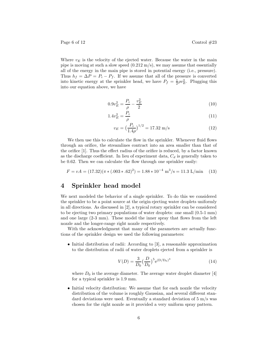Where  $v<sub>E</sub>$  is the velocity of the ejected water. Because the water in the main pipe is moving at such a slow speed  $(0.212 \text{ m/s})$ , we may assume that essentially all of the energy in the main pipe is stored in potential energy (i.e., pressure). Thus  $h_f = \Delta P = P_i - P_f$ . If we assume that all of the pressure is converted into kinetic energy at the sprinkler head, we have  $P_f = \frac{1}{2}\rho v_E^2$ . Plugging this into our equation above, we have

$$
0.9v_E^2 = \frac{P_i}{\rho} - \frac{v_E^2}{2}
$$
\n<sup>(10)</sup>

$$
1.4v_E^2 = \frac{P_i}{\rho} \tag{11}
$$

$$
v_E = \left(\frac{P_i}{1.4\rho}\right)^{1/2} = 17.32 \text{ m/s} \tag{12}
$$

We then use this to calculate the flow in the sprinkler. Whenever fluid flows through an orifice, the streamlines contract into an area smaller than that of the orifice [1]. Thus the effect radius of the orifice is reduced, by a factor known as the discharge coefficient. In lieu of experiment data,  $C_d$  is generally taken to be 0.62. Then we can calculate the flow through one sprinkler easily:

$$
F = vA = (17.32)(\pi * (.003 * .62)^{2}) = 1.88 * 10^{-4} \text{ m}^{3}/\text{s} = 11.3 \text{ L/min} \quad (13)
$$

## **4 Sprinkler head model**

We next modeled the behavior of a single sprinkler. To do this we considered the sprinkler to be a point source at the origin ejecting water droplets uniformly in all directions. As discussed in [2], a typical rotary sprinkler can be considered to be ejecting two primary populations of water droplets: one small (0.5-1 mm) and one large (2-3 mm). These model the inner spray that flows from the left nozzle and the longer-range right nozzle respectively.

With the acknowledgment that many of the parameters are actually functions of the sprinkler design we used the following parameters:

• Initial distribution of radii: According to [3], a reasonable approximation to the distribution of radii of water droplets ejected from a sprinkler is

$$
V(D) = \frac{3}{D_0} \left(\frac{D}{D_0}\right)^5 e^{(D/D_0)^3}
$$
\n(14)

where  $D_0$  is the average diameter. The average water droplet diameter [4] for a typical sprinkler is 1.9 mm.

• Initial velocity distribution: We assume that for each nozzle the velocity distribution of the volume is roughly Gaussian, and several different standard deviations were used. Eventually a standard deviation of  $5 \text{ m/s}$  was chosen for the right nozzle as it provided a very uniform spray pattern.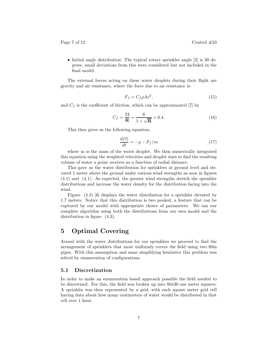Page 7 of 12 Control  $\#23$ 

• Initial angle distribution: The typical rotary sprinkler angle [2] is 30 degrees, small deviations from this were considered but not included in the final model.

The external forces acting on these water droplets during their flight are gravity and air resistance, where the force due to air resistance is:

$$
F_f = C_f \rho A v^2,\tag{15}
$$

and  $C_f$  is the coefficient of friction, which can be approximated [7] by

$$
C_f = \frac{24}{\mathbf{R}} + \frac{6}{1 + \sqrt{\mathbf{R}}} + 0.4.
$$
 (16)

This then gives us the following equation:

$$
\frac{d(\vec{v})}{dt} = -g - F_f/m\tag{17}
$$

where m is the mass of the water droplet. We then numerically integrated this equation using the weighted velocities and droplet sizes to find the resulting volume of water a point receives as a function of radial distance.

This gave us the water distribution for sprinklers at ground level and elevated 1 meter above the ground under various wind strengths as seen in figures (4.1) and (4.1). As expected, the greater wind strengths stretch the sprinkler distributions and increase the water density for the distribution facing into the wind.

Figure (4.3) [6] displays the water distribution for a sprinkler elevated by 1*.*7 meters. Notice that this distribution is two peaked, a feature that can be captured by our model with appropriate choice of parameters. We ran our complete algorithm using both the distributions from our own model and the distribution in figure (4.3).

## **5 Optimal Covering**

Armed with the water distributions for our sprinklers we proceed to find the arrangement of sprinklers that most uniformly covers the field using two 80m pipes. With this assumption and some simplifying heuristics this problem was solved by enumeration of configurations.

#### **5.1 Discretization**

In order to make an enumeration based approach possible the field needed to be discretized. For this, the field was broken up into 80x30 one meter squares. A sprinkler was then represented by a grid, with each square meter grid cell having data about how many centimeters of water would be distributed in that cell over 1 hour.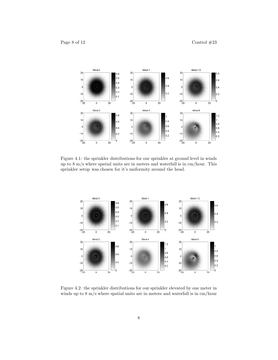

Figure 4.1: the sprinkler distributions for our sprinkler at ground level in winds up to 8 m/s where spatial units are in meters and waterfall is in cm/hour. This sprinkler setup was chosen for it's uniformity around the head.



Figure 4.2: the sprinkler distributions for our sprinkler elevated by one meter in winds up to 8 m/s where spatial units are in meters and waterfall is in cm/hour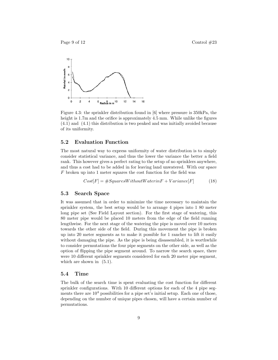

Figure 4.3: the sprinkler distribution found in [6] where pressure is 350kPa, the height is 1.7m and the orifice is approximately 4.5 mm. While unlike the figures (4.1) and (4.1) this distribution is two peaked and was initially avoided because of its uniformity.

#### **5.2 Evaluation Function**

The most natural way to express uniformity of water distribution is to simply consider statistical variance, and thus the lower the variance the better a field rank. This however gives a perfect rating to the setup of no sprinklers anywhere, and thus a cost had to be added in for leaving land unwatered. With our space *F* broken up into 1 meter squares the cost function for the field was

$$
Cost[F] = #SquaresWithout Water in F + Variance[F] \tag{18}
$$

#### **5.3 Search Space**

It was assumed that in order to minimize the time necessary to maintain the sprinkler system, the best setup would be to arrange 4 pipes into 1 80 meter long pipe set (See Field Layout section). For the first stage of watering, this 80 meter pipe would be placed 10 meters from the edge of the field running lengthwise. For the next stage of the watering the pipe is moved over 10 meters towards the other side of the field. During this movement the pipe is broken up into 20 meter segments as to make it possible for 1 rancher to lift it easily without damaging the pipe. As the pipe is being disassembled, it is worthwhile to consider permutations the four pipe segments on the other side, as well as the option of flipping the pipe segment around. To narrow the search space, there were 10 different sprinkler segments considered for each 20 meter pipe segment, which are shown in  $(5.1)$ .

#### **5.4 Time**

The bulk of the search time is spent evaluating the cost function for different sprinkler configurations. With 10 different options for each of the 4 pipe segments there are  $10<sup>4</sup>$  possibilities for a pipe set's initial setup. Each one of those, depending on the number of unique pipes chosen, will have a certain number of permutations.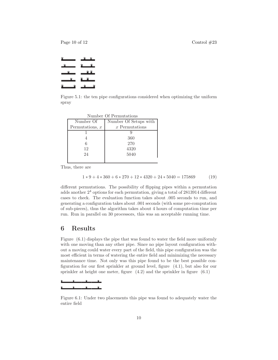Page 10 of 12 Control  $\#23$ 

Figure 5.1: the ten pipe configurations considered when optimizing the uniform spray

| Number Of Permutations |                       |  |  |
|------------------------|-----------------------|--|--|
| Number Of              | Number Of Setups with |  |  |
| Permutations, $x$      | $x$ Permutations      |  |  |
|                        |                       |  |  |
|                        | 360                   |  |  |
| 6                      | 270                   |  |  |
| 12                     | 4320                  |  |  |
| 24                     | 5040                  |  |  |
|                        |                       |  |  |

Thus, there are

$$
1 * 9 + 4 * 360 + 6 * 270 + 12 * 4320 + 24 * 5040 = 175869
$$
 (19)

different permutations. The possibility of flipping pipes within a permutation adds another 2<sup>4</sup> options for each permutation, giving a total of 2813914 different cases to check. The evaluation function takes about .005 seconds to run, and generating a configuration takes about .001 seconds (with some pre-computation of sub-pieces), thus the algorithm takes about 4 hours of computation time per run. Run in parallel on 30 processors, this was an acceptable running time.

### **6 Results**

Figure (6.1) displays the pipe that was found to water the field more uniformly with one moving than any other pipe. Since no pipe layout configuration without a moving could water every part of the field, this pipe configuration was the most efficient in terms of watering the entire field and minimizing the necessary maintenance time. Not only was this pipe found to be the best possible configuration for our first sprinkler at ground level, figure (4.1), but also for our sprinkler at height one meter, figure  $(4.2)$  and the sprinkler in figure  $(6.1)$ 



Figure 6.1: Under two placements this pipe was found to adequately water the entire field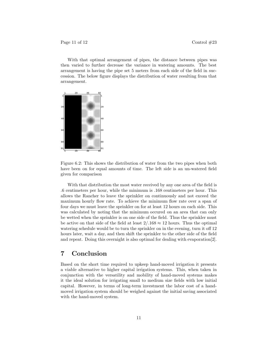Page 11 of 12 Control  $\#23$ 

With that optimal arrangement of pipes, the distance between pipes was then varied to further decrease the variance in watering amounts. The best arrangement is having the pipe set 5 meters from each side of the field in succession. The below figure displays the distribution of water resulting from that arrangement.



Figure 6.2: This shows the distribution of water from the two pipes when both have been on for equal amounts of time. The left side is an un-watered field given for comparison

With that distribution the most water received by any one area of the field is .6 centimeters per hour, while the minimum is .168 centimeters per hour. This allows the Rancher to leave the sprinkler on continuously and not exceed the maximum hourly flow rate. To achieve the minimum flow rate over a span of four days we must leave the sprinkler on for at least 12 hours on each side. This was calculated by noting that the minimum occured on an area that can only be wetted when the sprinkler is on one side of the field. Thus the sprinkler must be active on that side of the field at least  $2/.168 \approx 12$  hours. Thus the optimal watering schedule would be to turn the sprinkler on in the evening, turn it off 12 hours later, wait a day, and then shift the sprinkler to the other side of the field and repeat. Doing this overnight is also optimal for dealing with evaporation[2].

## **7 Conclusion**

Based on the short time required to upkeep hand-moved irrigation it presents a viable alternative to higher capital irrigation systems. This, when taken in conjunction with the versatility and mobility of hand-moved systems makes it the ideal solution for irrigating small to medium size fields with low initial capital. However, in terms of long-term investment the labor cost of a handmoved irrigation system should be weighed against the initial saving associated with the hand-moved system.